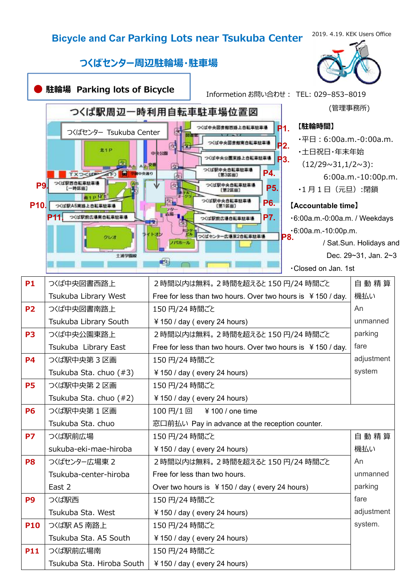## **Bicycle and Car Parking Lots near Tsukuba Center**

2019. 4.19. KEK Users Office